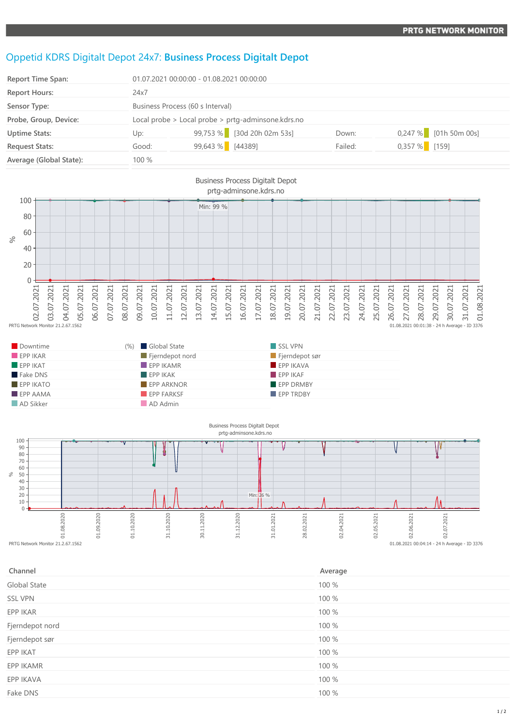## Oppetid KDRS Digitalt Depot 24x7: **Business Process Digitalt Depot**

| <b>Report Time Span:</b> | 01.07.2021 00:00:00 - 01.08.2021 00:00:00          |                            |         |                         |  |
|--------------------------|----------------------------------------------------|----------------------------|---------|-------------------------|--|
| <b>Report Hours:</b>     | 24x7                                               |                            |         |                         |  |
| Sensor Type:             | Business Process (60 s Interval)                   |                            |         |                         |  |
| Probe, Group, Device:    | Local probe > Local probe > prtg-adminsone.kdrs.no |                            |         |                         |  |
| <b>Uptime Stats:</b>     | Up:                                                | 99,753 % [30d 20h 02m 53s] | Down:   | $0,247\%$ [01h 50m 00s] |  |
| <b>Request Stats:</b>    | Good:                                              | 99,643 % [44389]           | Failed: | $0,357\%$ [159]         |  |
| Average (Global State):  | 100 %                                              |                            |         |                         |  |



| Downtime        | (%) Global State  | SSL VPN          |
|-----------------|-------------------|------------------|
| EPPIKAR         | Fjerndepot nord   | Fjerndepot sør   |
| EPPIKAT         | $EPP$ IKAMR       | EPP IKAVA        |
| Fake DNS        | EPPIKAK           | EPPIKAF          |
| $EPP$ IKATO     | <b>EPP ARKNOR</b> | EPP DRMBY        |
| <b>EPP AAMA</b> | <b>EPP FARKSF</b> | <b>EPP TRDBY</b> |
| AD Sikker       | AD Admin          |                  |



| Channel         | Average |
|-----------------|---------|
| Global State    | 100 %   |
| <b>SSL VPN</b>  | 100 %   |
| EPP IKAR        | 100 %   |
| Fjerndepot nord | 100 %   |
| Fjerndepot sør  | 100 %   |
| EPP IKAT        | 100 %   |
| EPP IKAMR       | 100 %   |
| EPP IKAVA       | 100 %   |
| Fake DNS        | 100 %   |
|                 |         |